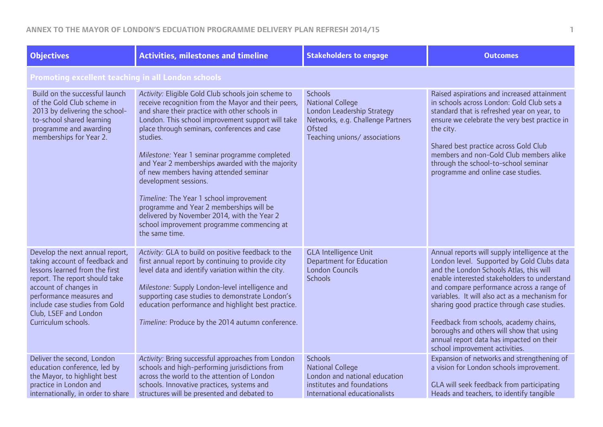| <b>Objectives</b>                                                                                                                                                                                                                                                            | <b>Activities, milestones and timeline</b>                                                                                                                                                                                                                                                                                                                                                                                                                                                                                                                                                                                                                  | <b>Stakeholders to engage</b>                                                                                                                                 | <b>Outcomes</b>                                                                                                                                                                                                                                                                                                                                                                                                                                                                                           |  |  |
|------------------------------------------------------------------------------------------------------------------------------------------------------------------------------------------------------------------------------------------------------------------------------|-------------------------------------------------------------------------------------------------------------------------------------------------------------------------------------------------------------------------------------------------------------------------------------------------------------------------------------------------------------------------------------------------------------------------------------------------------------------------------------------------------------------------------------------------------------------------------------------------------------------------------------------------------------|---------------------------------------------------------------------------------------------------------------------------------------------------------------|-----------------------------------------------------------------------------------------------------------------------------------------------------------------------------------------------------------------------------------------------------------------------------------------------------------------------------------------------------------------------------------------------------------------------------------------------------------------------------------------------------------|--|--|
|                                                                                                                                                                                                                                                                              | <b>Promoting excellent teaching in all London schools</b>                                                                                                                                                                                                                                                                                                                                                                                                                                                                                                                                                                                                   |                                                                                                                                                               |                                                                                                                                                                                                                                                                                                                                                                                                                                                                                                           |  |  |
| Build on the successful launch<br>of the Gold Club scheme in<br>2013 by delivering the school-<br>to-school shared learning<br>programme and awarding<br>memberships for Year 2.                                                                                             | Activity: Eligible Gold Club schools join scheme to<br>receive recognition from the Mayor and their peers,<br>and share their practice with other schools in<br>London. This school improvement support will take<br>place through seminars, conferences and case<br>studies.<br>Milestone: Year 1 seminar programme completed<br>and Year 2 memberships awarded with the majority<br>of new members having attended seminar<br>development sessions.<br>Timeline: The Year 1 school improvement<br>programme and Year 2 memberships will be<br>delivered by November 2014, with the Year 2<br>school improvement programme commencing at<br>the same time. | <b>Schools</b><br><b>National College</b><br>London Leadership Strategy<br>Networks, e.g. Challenge Partners<br><b>Ofsted</b><br>Teaching unions/associations | Raised aspirations and increased attainment<br>in schools across London: Gold Club sets a<br>standard that is refreshed year on year, to<br>ensure we celebrate the very best practice in<br>the city.<br>Shared best practice across Gold Club<br>members and non-Gold Club members alike<br>through the school-to-school seminar<br>programme and online case studies.                                                                                                                                  |  |  |
| Develop the next annual report,<br>taking account of feedback and<br>lessons learned from the first<br>report. The report should take<br>account of changes in<br>performance measures and<br>include case studies from Gold<br>Club, LSEF and London<br>Curriculum schools. | Activity: GLA to build on positive feedback to the<br>first annual report by continuing to provide city<br>level data and identify variation within the city.<br>Milestone: Supply London-level intelligence and<br>supporting case studies to demonstrate London's<br>education performance and highlight best practice.<br>Timeline: Produce by the 2014 autumn conference.                                                                                                                                                                                                                                                                               | <b>GLA Intelligence Unit</b><br><b>Department for Education</b><br><b>London Councils</b><br><b>Schools</b>                                                   | Annual reports will supply intelligence at the<br>London level. Supported by Gold Clubs data<br>and the London Schools Atlas, this will<br>enable interested stakeholders to understand<br>and compare performance across a range of<br>variables. It will also act as a mechanism for<br>sharing good practice through case studies.<br>Feedback from schools, academy chains,<br>boroughs and others will show that using<br>annual report data has impacted on their<br>school improvement activities. |  |  |
| Deliver the second, London<br>education conference, led by<br>the Mayor, to highlight best<br>practice in London and<br>internationally, in order to share                                                                                                                   | Activity: Bring successful approaches from London<br>schools and high-performing jurisdictions from<br>across the world to the attention of London<br>schools. Innovative practices, systems and<br>structures will be presented and debated to                                                                                                                                                                                                                                                                                                                                                                                                             | <b>Schools</b><br><b>National College</b><br>London and national education<br>institutes and foundations<br>International educationalists                     | Expansion of networks and strengthening of<br>a vision for London schools improvement.<br>GLA will seek feedback from participating<br>Heads and teachers, to identify tangible                                                                                                                                                                                                                                                                                                                           |  |  |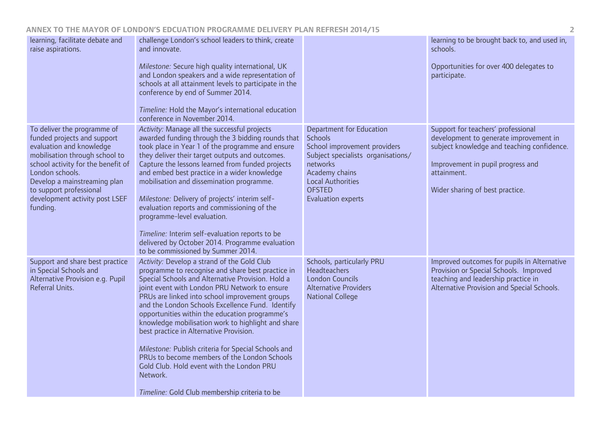| learning, facilitate debate and<br>raise aspirations.                                                                                                                                                                                                                                      | challenge London's school leaders to think, create<br>and innovate.<br>Milestone: Secure high quality international, UK<br>and London speakers and a wide representation of<br>schools at all attainment levels to participate in the<br>conference by end of Summer 2014.<br>Timeline: Hold the Mayor's international education<br>conference in November 2014.                                                                                                                                                                                                                                                                                                                 |                                                                                                                                                                                                                                 | learning to be brought back to, and used in,<br>schools.<br>Opportunities for over 400 delegates to<br>participate.                                                                                               |
|--------------------------------------------------------------------------------------------------------------------------------------------------------------------------------------------------------------------------------------------------------------------------------------------|----------------------------------------------------------------------------------------------------------------------------------------------------------------------------------------------------------------------------------------------------------------------------------------------------------------------------------------------------------------------------------------------------------------------------------------------------------------------------------------------------------------------------------------------------------------------------------------------------------------------------------------------------------------------------------|---------------------------------------------------------------------------------------------------------------------------------------------------------------------------------------------------------------------------------|-------------------------------------------------------------------------------------------------------------------------------------------------------------------------------------------------------------------|
| To deliver the programme of<br>funded projects and support<br>evaluation and knowledge<br>mobilisation through school to<br>school activity for the benefit of<br>London schools.<br>Develop a mainstreaming plan<br>to support professional<br>development activity post LSEF<br>funding. | Activity: Manage all the successful projects<br>awarded funding through the 3 bidding rounds that<br>took place in Year 1 of the programme and ensure<br>they deliver their target outputs and outcomes.<br>Capture the lessons learned from funded projects<br>and embed best practice in a wider knowledge<br>mobilisation and dissemination programme.<br>Milestone: Delivery of projects' interim self-<br>evaluation reports and commissioning of the<br>programme-level evaluation.<br>Timeline: Interim self-evaluation reports to be<br>delivered by October 2014. Programme evaluation<br>to be commissioned by Summer 2014.                                            | <b>Department for Education</b><br><b>Schools</b><br>School improvement providers<br>Subject specialists organisations/<br>networks<br>Academy chains<br><b>Local Authorities</b><br><b>OFSTED</b><br><b>Evaluation experts</b> | Support for teachers' professional<br>development to generate improvement in<br>subject knowledge and teaching confidence.<br>Improvement in pupil progress and<br>attainment.<br>Wider sharing of best practice. |
| Support and share best practice<br>in Special Schools and<br>Alternative Provision e.g. Pupil<br>Referral Units.                                                                                                                                                                           | Activity: Develop a strand of the Gold Club<br>programme to recognise and share best practice in<br>Special Schools and Alternative Provision. Hold a<br>joint event with London PRU Network to ensure<br>PRUs are linked into school improvement groups<br>and the London Schools Excellence Fund. Identify<br>opportunities within the education programme's<br>knowledge mobilisation work to highlight and share<br>best practice in Alternative Provision.<br>Milestone: Publish criteria for Special Schools and<br>PRUs to become members of the London Schools<br>Gold Club. Hold event with the London PRU<br>Network.<br>Timeline: Gold Club membership criteria to be | Schools, particularly PRU<br>Headteachers<br><b>London Councils</b><br><b>Alternative Providers</b><br><b>National College</b>                                                                                                  | Improved outcomes for pupils in Alternative<br>Provision or Special Schools. Improved<br>teaching and leadership practice in<br>Alternative Provision and Special Schools.                                        |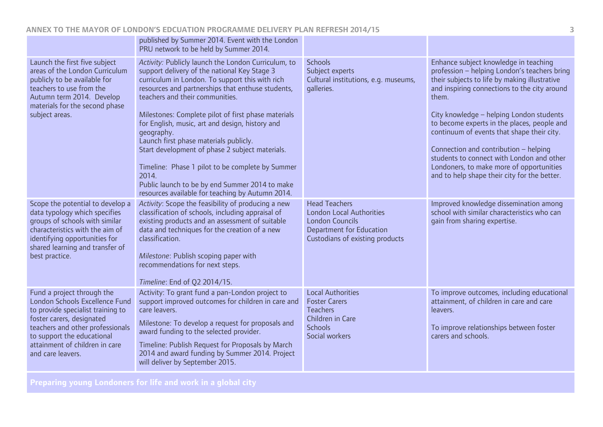|                                                                                                                                                                                                                                                         | published by Summer 2014. Event with the London<br>PRU network to be held by Summer 2014.                                                                                                                                                                                                                                                                                                                                                                                                                                                                                                                                              |                                                                                                                                                         |                                                                                                                                                                                                                                                                                                                                                                                                                                                                                                                            |
|---------------------------------------------------------------------------------------------------------------------------------------------------------------------------------------------------------------------------------------------------------|----------------------------------------------------------------------------------------------------------------------------------------------------------------------------------------------------------------------------------------------------------------------------------------------------------------------------------------------------------------------------------------------------------------------------------------------------------------------------------------------------------------------------------------------------------------------------------------------------------------------------------------|---------------------------------------------------------------------------------------------------------------------------------------------------------|----------------------------------------------------------------------------------------------------------------------------------------------------------------------------------------------------------------------------------------------------------------------------------------------------------------------------------------------------------------------------------------------------------------------------------------------------------------------------------------------------------------------------|
| Launch the first five subject<br>areas of the London Curriculum<br>publicly to be available for<br>teachers to use from the<br>Autumn term 2014. Develop<br>materials for the second phase<br>subject areas.                                            | Activity: Publicly launch the London Curriculum, to<br>support delivery of the national Key Stage 3<br>curriculum in London. To support this with rich<br>resources and partnerships that enthuse students,<br>teachers and their communities.<br>Milestones: Complete pilot of first phase materials<br>for English, music, art and design, history and<br>geography.<br>Launch first phase materials publicly.<br>Start development of phase 2 subject materials.<br>Timeline: Phase 1 pilot to be complete by Summer<br>2014.<br>Public launch to be by end Summer 2014 to make<br>resources available for teaching by Autumn 2014. | <b>Schools</b><br>Subject experts<br>Cultural institutions, e.g. museums,<br>galleries.                                                                 | Enhance subject knowledge in teaching<br>profession - helping London's teachers bring<br>their subjects to life by making illustrative<br>and inspiring connections to the city around<br>them.<br>City knowledge - helping London students<br>to become experts in the places, people and<br>continuum of events that shape their city.<br>Connection and contribution - helping<br>students to connect with London and other<br>Londoners, to make more of opportunities<br>and to help shape their city for the better. |
| Scope the potential to develop a<br>data typology which specifies<br>groups of schools with similar<br>characteristics with the aim of<br>identifying opportunities for<br>shared learning and transfer of<br>best practice.                            | Activity: Scope the feasibility of producing a new<br>classification of schools, including appraisal of<br>existing products and an assessment of suitable<br>data and techniques for the creation of a new<br>classification.<br>Milestone: Publish scoping paper with<br>recommendations for next steps.<br>Timeline: End of Q2 2014/15.                                                                                                                                                                                                                                                                                             | <b>Head Teachers</b><br><b>London Local Authorities</b><br><b>London Councils</b><br><b>Department for Education</b><br>Custodians of existing products | Improved knowledge dissemination among<br>school with similar characteristics who can<br>gain from sharing expertise.                                                                                                                                                                                                                                                                                                                                                                                                      |
| Fund a project through the<br>London Schools Excellence Fund<br>to provide specialist training to<br>foster carers, designated<br>teachers and other professionals<br>to support the educational<br>attainment of children in care<br>and care leavers. | Activity: To grant fund a pan-London project to<br>support improved outcomes for children in care and<br>care leavers.<br>Milestone: To develop a request for proposals and<br>award funding to the selected provider.<br>Timeline: Publish Request for Proposals by March<br>2014 and award funding by Summer 2014. Project<br>will deliver by September 2015.                                                                                                                                                                                                                                                                        | <b>Local Authorities</b><br><b>Foster Carers</b><br><b>Teachers</b><br>Children in Care<br><b>Schools</b><br>Social workers                             | To improve outcomes, including educational<br>attainment, of children in care and care<br>leavers.<br>To improve relationships between foster<br>carers and schools.                                                                                                                                                                                                                                                                                                                                                       |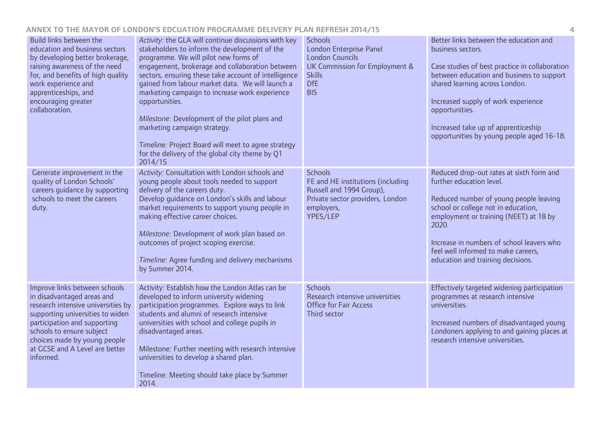| Build links between the<br>education and business sectors<br>by developing better brokerage,<br>raising awareness of the need<br>for, and benefits of high quality<br>work experience and<br>apprenticeships, and<br>encouraging greater<br>collaboration.                        | Activity: the GLA will continue discussions with key<br>stakeholders to inform the development of the<br>programme. We will pilot new forms of<br>engagement, brokerage and collaboration between<br>sectors, ensuring these take account of intelligence<br>gained from labour market data. We will launch a<br>marketing campaign to increase work experience<br>opportunities.<br>Milestone: Development of the pilot plans and<br>marketing campaign strategy.<br>Timeline: Project Board will meet to agree strategy<br>for the delivery of the global city theme by Q1<br>2014/15 | <b>Schools</b><br><b>London Enterprise Panel</b><br><b>London Councils</b><br>UK Commission for Employment &<br><b>Skills</b><br><b>DfE</b><br><b>BIS</b> | Better links between the education and<br>business sectors.<br>Case studies of best practice in collaboration<br>between education and business to support<br>shared learning across London.<br>Increased supply of work experience<br>opportunities.<br>Increased take up of apprenticeship<br>opportunities by young people aged 16-18. |
|-----------------------------------------------------------------------------------------------------------------------------------------------------------------------------------------------------------------------------------------------------------------------------------|-----------------------------------------------------------------------------------------------------------------------------------------------------------------------------------------------------------------------------------------------------------------------------------------------------------------------------------------------------------------------------------------------------------------------------------------------------------------------------------------------------------------------------------------------------------------------------------------|-----------------------------------------------------------------------------------------------------------------------------------------------------------|-------------------------------------------------------------------------------------------------------------------------------------------------------------------------------------------------------------------------------------------------------------------------------------------------------------------------------------------|
| Generate improvement in the<br>quality of London Schools'<br>careers guidance by supporting<br>schools to meet the careers<br>duty.                                                                                                                                               | Activity: Consultation with London schools and<br>young people about tools needed to support<br>delivery of the careers duty.<br>Develop guidance on London's skills and labour<br>market requirements to support young people in<br>making effective career choices.<br>Milestone: Development of work plan based on<br>outcomes of project scoping exercise.<br>Timeline: Agree funding and delivery mechanisms<br>by Summer 2014.                                                                                                                                                    | <b>Schools</b><br>FE and HE institutions (including<br>Russell and 1994 Group),<br>Private sector providers, London<br>employers,<br>YPES/LEP             | Reduced drop-out rates at sixth form and<br>further education level.<br>Reduced number of young people leaving<br>school or college not in education,<br>employment or training (NEET) at 18 by<br>2020.<br>Increase in numbers of school leavers who<br>feel well informed to make careers,<br>education and training decisions.         |
| Improve links between schools<br>in disadvantaged areas and<br>research intensive universities by<br>supporting universities to widen<br>participation and supporting<br>schools to ensure subject<br>choices made by young people<br>at GCSE and A Level are better<br>informed. | Activity: Establish how the London Atlas can be<br>developed to inform university widening<br>participation programmes. Explore ways to link<br>students and alumni of research intensive<br>universities with school and college pupils in<br>disadvantaged areas.<br>Milestone: Further meeting with research intensive<br>universities to develop a shared plan.<br>Timeline: Meeting should take place by Summer<br>2014.                                                                                                                                                           | <b>Schools</b><br>Research intensive universities<br><b>Office for Fair Access</b><br>Third sector                                                        | Effectively targeted widening participation<br>programmes at research intensive<br>universities.<br>Increased numbers of disadvantaged young<br>Londoners applying to and gaining places at<br>research intensive universities.                                                                                                           |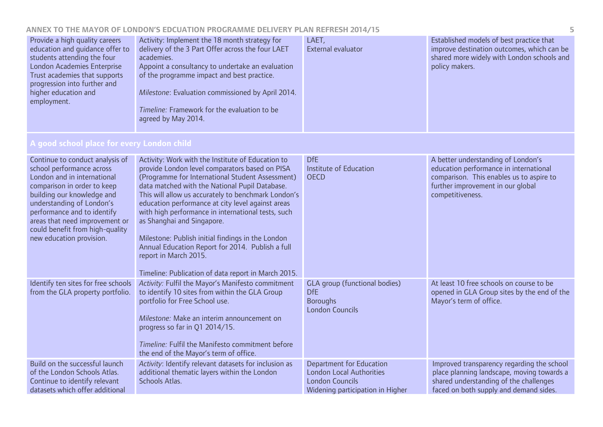| Provide a high quality careers<br>education and guidance offer to<br>students attending the four<br>London Academies Enterprise<br>Trust academies that supports<br>progression into further and<br>higher education and<br>employment.                                                                               | Activity: Implement the 18 month strategy for<br>delivery of the 3 Part Offer across the four LAET<br>academies.<br>Appoint a consultancy to undertake an evaluation<br>of the programme impact and best practice.<br>Milestone: Evaluation commissioned by April 2014.<br>Timeline: Framework for the evaluation to be<br>agreed by May 2014.                                                                                                                                                                                                                                                     | LAET,<br>External evaluator                                                                                                      | Established models of best practice that<br>improve destination outcomes, which can be<br>shared more widely with London schools and<br>policy makers.                            |
|-----------------------------------------------------------------------------------------------------------------------------------------------------------------------------------------------------------------------------------------------------------------------------------------------------------------------|----------------------------------------------------------------------------------------------------------------------------------------------------------------------------------------------------------------------------------------------------------------------------------------------------------------------------------------------------------------------------------------------------------------------------------------------------------------------------------------------------------------------------------------------------------------------------------------------------|----------------------------------------------------------------------------------------------------------------------------------|-----------------------------------------------------------------------------------------------------------------------------------------------------------------------------------|
| A good school place for every London child                                                                                                                                                                                                                                                                            |                                                                                                                                                                                                                                                                                                                                                                                                                                                                                                                                                                                                    |                                                                                                                                  |                                                                                                                                                                                   |
| Continue to conduct analysis of<br>school performance across<br>London and in international<br>comparison in order to keep<br>building our knowledge and<br>understanding of London's<br>performance and to identify<br>areas that need improvement or<br>could benefit from high-quality<br>new education provision. | Activity: Work with the Institute of Education to<br>provide London level comparators based on PISA<br>(Programme for International Student Assessment)<br>data matched with the National Pupil Database.<br>This will allow us accurately to benchmark London's<br>education performance at city level against areas<br>with high performance in international tests, such<br>as Shanghai and Singapore.<br>Milestone: Publish initial findings in the London<br>Annual Education Report for 2014. Publish a full<br>report in March 2015.<br>Timeline: Publication of data report in March 2015. | <b>DfE</b><br>Institute of Education<br><b>OECD</b>                                                                              | A better understanding of London's<br>education performance in international<br>comparison. This enables us to aspire to<br>further improvement in our global<br>competitiveness. |
| Identify ten sites for free schools<br>from the GLA property portfolio.                                                                                                                                                                                                                                               | Activity: Fulfil the Mayor's Manifesto commitment<br>to identify 10 sites from within the GLA Group<br>portfolio for Free School use.<br>Milestone: Make an interim announcement on<br>progress so far in Q1 2014/15.<br>Timeline: Fulfil the Manifesto commitment before<br>the end of the Mayor's term of office.                                                                                                                                                                                                                                                                                | <b>GLA</b> group (functional bodies)<br><b>DfE</b><br><b>Boroughs</b><br><b>London Councils</b>                                  | At least 10 free schools on course to be<br>opened in GLA Group sites by the end of the<br>Mayor's term of office.                                                                |
| Build on the successful launch<br>of the London Schools Atlas.<br>Continue to identify relevant<br>datasets which offer additional                                                                                                                                                                                    | Activity: Identify relevant datasets for inclusion as<br>additional thematic layers within the London<br>Schools Atlas.                                                                                                                                                                                                                                                                                                                                                                                                                                                                            | <b>Department for Education</b><br><b>London Local Authorities</b><br><b>London Councils</b><br>Widening participation in Higher | Improved transparency regarding the school<br>place planning landscape, moving towards a<br>shared understanding of the challenges<br>faced on both supply and demand sides.      |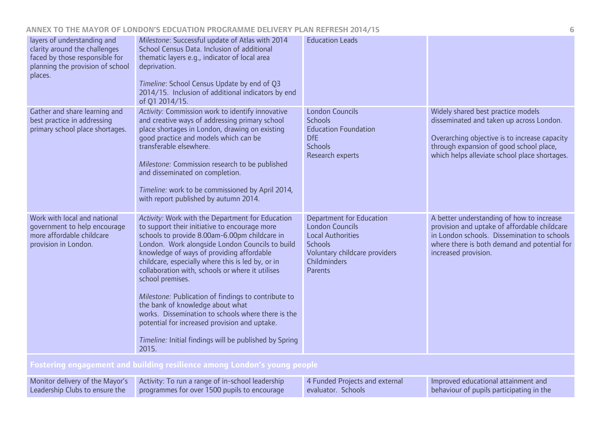| layers of understanding and<br>clarity around the challenges<br>faced by those responsible for<br>planning the provision of school<br>places. | Milestone: Successful update of Atlas with 2014<br>School Census Data. Inclusion of additional<br>thematic layers e.g., indicator of local area<br>deprivation.<br>Timeline: School Census Update by end of Q3<br>2014/15. Inclusion of additional indicators by end<br>of Q1 2014/15.                                                                                                                                                                                                                                                                                                                                                               | <b>Education Leads</b>                                                                                                                                              |                                                                                                                                                                                                                             |  |
|-----------------------------------------------------------------------------------------------------------------------------------------------|------------------------------------------------------------------------------------------------------------------------------------------------------------------------------------------------------------------------------------------------------------------------------------------------------------------------------------------------------------------------------------------------------------------------------------------------------------------------------------------------------------------------------------------------------------------------------------------------------------------------------------------------------|---------------------------------------------------------------------------------------------------------------------------------------------------------------------|-----------------------------------------------------------------------------------------------------------------------------------------------------------------------------------------------------------------------------|--|
| Gather and share learning and<br>best practice in addressing<br>primary school place shortages.                                               | Activity: Commission work to identify innovative<br>and creative ways of addressing primary school<br>place shortages in London, drawing on existing<br>good practice and models which can be<br>transferable elsewhere.<br>Milestone: Commission research to be published<br>and disseminated on completion.<br>Timeline: work to be commissioned by April 2014,<br>with report published by autumn 2014.                                                                                                                                                                                                                                           | <b>London Councils</b><br><b>Schools</b><br><b>Education Foundation</b><br><b>DfE</b><br><b>Schools</b><br>Research experts                                         | Widely shared best practice models<br>disseminated and taken up across London.<br>Overarching objective is to increase capacity<br>through expansion of good school place,<br>which helps alleviate school place shortages. |  |
| Work with local and national<br>government to help encourage<br>more affordable childcare<br>provision in London.                             | Activity: Work with the Department for Education<br>to support their initiative to encourage more<br>schools to provide 8.00am-6.00pm childcare in<br>London. Work alongside London Councils to build<br>knowledge of ways of providing affordable<br>childcare, especially where this is led by, or in<br>collaboration with, schools or where it utilises<br>school premises.<br>Milestone: Publication of findings to contribute to<br>the bank of knowledge about what<br>works. Dissemination to schools where there is the<br>potential for increased provision and uptake.<br>Timeline: Initial findings will be published by Spring<br>2015. | <b>Department for Education</b><br><b>London Councils</b><br><b>Local Authorities</b><br><b>Schools</b><br>Voluntary childcare providers<br>Childminders<br>Parents | A better understanding of how to increase<br>provision and uptake of affordable childcare<br>in London schools. Dissemination to schools<br>where there is both demand and potential for<br>increased provision.            |  |
| Fostering engagement and building resilience among London's young people                                                                      |                                                                                                                                                                                                                                                                                                                                                                                                                                                                                                                                                                                                                                                      |                                                                                                                                                                     |                                                                                                                                                                                                                             |  |

| Monitor delivery of the Mayor's | Activity: To run a range of in-school leadership | 4 Funded Projects and external | Improved educational attainment and      |
|---------------------------------|--------------------------------------------------|--------------------------------|------------------------------------------|
| Leadership Clubs to ensure the  | programmes for over 1500 pupils to encourage     | evaluator. Schools             | behaviour of pupils participating in the |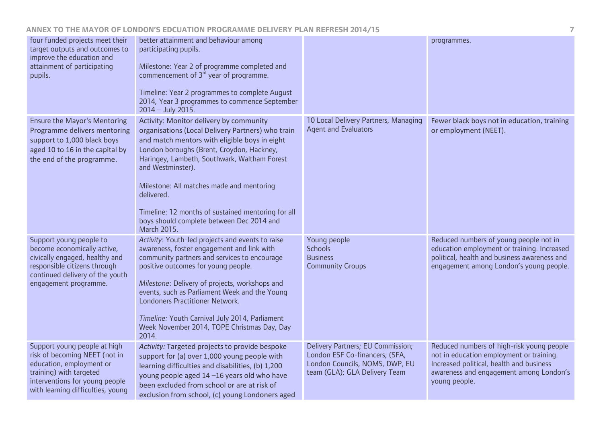| four funded projects meet their<br>target outputs and outcomes to<br>improve the education and<br>attainment of participating<br>pupils.                                                    | better attainment and behaviour among<br>participating pupils.<br>Milestone: Year 2 of programme completed and<br>commencement of $3rd$ year of programme.<br>Timeline: Year 2 programmes to complete August<br>2014, Year 3 programmes to commence September<br>$2014 - July 2015.$                                                                                                                                                         |                                                                                                                                        | programmes.                                                                                                                                                                                   |
|---------------------------------------------------------------------------------------------------------------------------------------------------------------------------------------------|----------------------------------------------------------------------------------------------------------------------------------------------------------------------------------------------------------------------------------------------------------------------------------------------------------------------------------------------------------------------------------------------------------------------------------------------|----------------------------------------------------------------------------------------------------------------------------------------|-----------------------------------------------------------------------------------------------------------------------------------------------------------------------------------------------|
| <b>Ensure the Mayor's Mentoring</b><br>Programme delivers mentoring<br>support to 1,000 black boys<br>aged 10 to 16 in the capital by<br>the end of the programme.                          | Activity: Monitor delivery by community<br>organisations (Local Delivery Partners) who train<br>and match mentors with eligible boys in eight<br>London boroughs (Brent, Croydon, Hackney,<br>Haringey, Lambeth, Southwark, Waltham Forest<br>and Westminster).<br>Milestone: All matches made and mentoring<br>delivered.<br>Timeline: 12 months of sustained mentoring for all<br>boys should complete between Dec 2014 and<br>March 2015. | 10 Local Delivery Partners, Managing<br><b>Agent and Evaluators</b>                                                                    | Fewer black boys not in education, training<br>or employment (NEET).                                                                                                                          |
| Support young people to<br>become economically active,<br>civically engaged, healthy and<br>responsible citizens through<br>continued delivery of the youth<br>engagement programme.        | Activity: Youth-led projects and events to raise<br>awareness, foster engagement and link with<br>community partners and services to encourage<br>positive outcomes for young people.<br>Milestone: Delivery of projects, workshops and<br>events, such as Parliament Week and the Young<br>Londoners Practitioner Network.<br>Timeline: Youth Carnival July 2014, Parliament<br>Week November 2014, TOPE Christmas Day, Day<br>2014.        | Young people<br><b>Schools</b><br><b>Business</b><br><b>Community Groups</b>                                                           | Reduced numbers of young people not in<br>education employment or training. Increased<br>political, health and business awareness and<br>engagement among London's young people.              |
| Support young people at high<br>risk of becoming NEET (not in<br>education, employment or<br>training) with targeted<br>interventions for young people<br>with learning difficulties, young | Activity: Targeted projects to provide bespoke<br>support for (a) over 1,000 young people with<br>learning difficulties and disabilities, (b) 1,200<br>young people aged 14-16 years old who have<br>been excluded from school or are at risk of<br>exclusion from school, (c) young Londoners aged                                                                                                                                          | Delivery Partners; EU Commission;<br>London ESF Co-financers; (SFA,<br>London Councils, NOMS, DWP, EU<br>team (GLA); GLA Delivery Team | Reduced numbers of high-risk young people<br>not in education employment or training.<br>Increased political, health and business<br>awareness and engagement among London's<br>young people. |